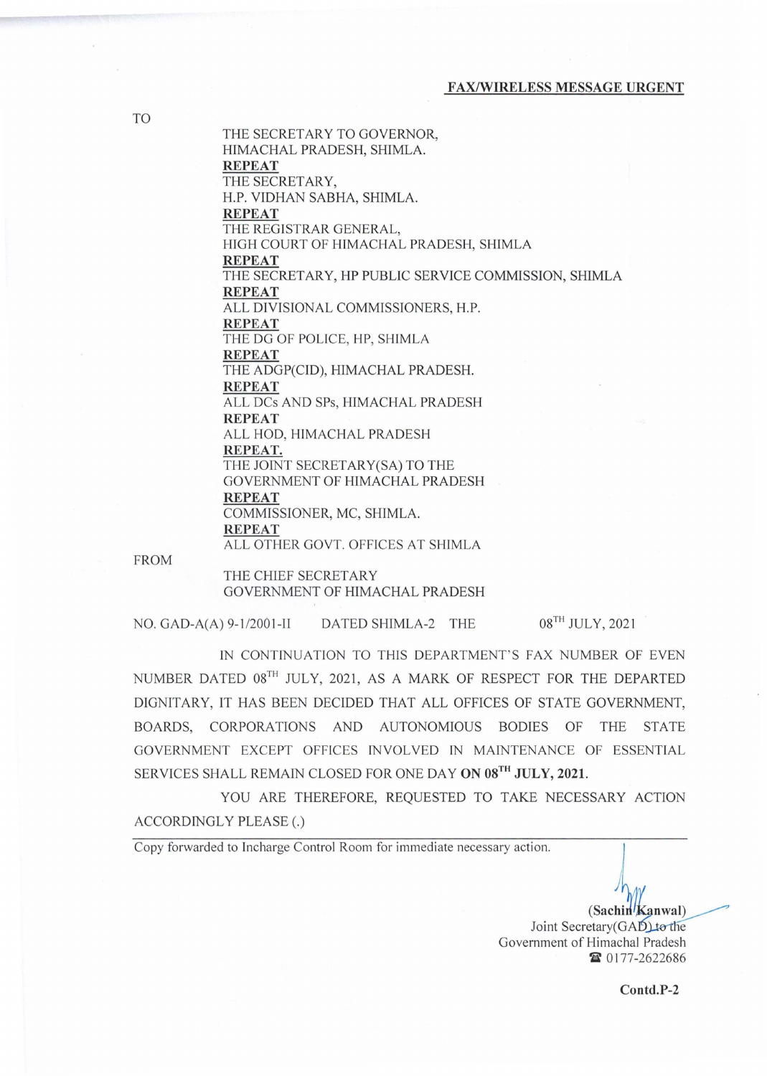THE SECRETARY TO GOVERNOR, HIMACHAL PRADESH, SHIMLA. REPEAT THE SECRETARY, H.P. VIDHAN SABRA, SHIMLA. REPEAT THE REGISTRAR GENERAL, HIGH COURT OF HIMACHAL PRADESH, SHlMLA REPEAT THE SECRETARY, HP PUBLIC SERVICE COMMISSION, SHIMLA REPEAT ALL DIVISIONAL COMMISSIONERS, H.P. REPEAT THE DG OF POLICE, HP, SHIMLA REPEAT THE ADGP(CID), HIMACHAL PRADESH. REPEAT ALL DCs AND SPs, HIMACHAL PRADESH REPEAT ALL HOD, HIMACHAL PRADESH REPEAT. THE JOINT SECRETARY(SA) TO THE GOVERNMENT OF HIMACHAL PRADESH REPEAT COMMISSIONER, MC, SHIMLA. REPEAT ALL OTHER GOVT. OFFICES AT SHIMLA

FROM

THE CHIEF SECRETARY GOVERNMENT OF HIMACHAL PRADESH

NO. GAD-A(A)  $9-1/2001-II$  DATED SHIMLA-2 THE  $08^{TH}$  JULY, 2021

IN CONTINUATION TO THIS DEPARTMENT'S FAX NUMBER OF EVEN NUMBER DATED 08TH JULY, 2021, AS A MARK OF RESPECT FOR THE DEPARTED DIGNITARY, IT HAS BEEN DECIDED THAT ALL OFFICES OF STATE GOVERNMENT, BOARDS, CORPORATIONS AND AUTONOMIOUS BODIES OF THE STATE GOVERNMENT EXCEPT OFFICES INVOLVED IN MAINTENANCE OF ESSENTIAL SERVICES SHALL REMAIN CLOSED FOR ONE DAY ON 08TH JULY, 2021.

YOU ARE THEREFORE, REQUESTED TO TAKE NECESSARY ACTION ACCORDINGLY PLEASE (.)

Copy forwarded to Incharge Control Room for immediate necessary action.

(Sachin/Kanwal) Joint Secretary(GAD) to the Government of Himachal Pradesh ~ 0177-2622686

Contd.P-2

TO